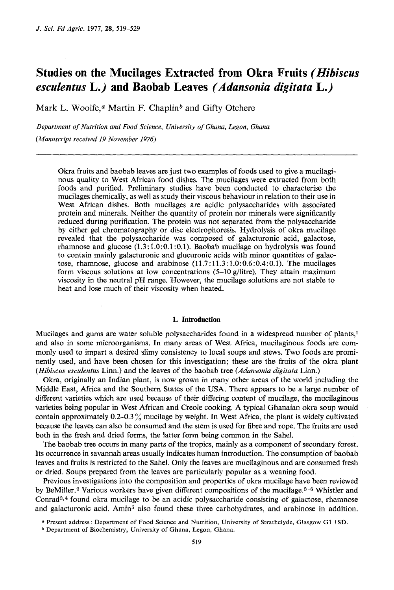# **Studies on the Mucilages Extracted from Okra Fruits** *(Hibiscus esculentus* **L.) and Baobab Leaves** *(Adansonia digitata* **L.)**

Mark L. Woolfe, $a$  Martin F. Chaplin<sup>b</sup> and Gifty Otchere

*Department of Nutrition and Food Science, University of Ghana, Legon, Ghana (Manuscript received 19 November 1976)* 

Okra fruits and baobab leaves are just two examples of foods used to give a mucilaginous quality to West African food dishes. The mucilages were extracted from both foods and purified. Preliminary studies have been conducted to characterise the mucilages chemically, as well as study their viscous behaviour in relation to their use in West African dishes. Both mucilages are acidic polysaccharides with associated protein and minerals. Neither the quantity of protein nor minerals were significantly reduced during purification. The protein was not separated from the polysaccharide by either gel chromatography or disc electrophoresis. Hydrolysis of okra mucilage revealed that the polysaccharide was composed of galacturonic acid, galactose, rhamnose and glucose  $(1.3:1.0:0.1:0.1)$ . Baobab mucilage on hydrolysis was found to contain mainly galacturonic and glucuronic acids with minor quantities of galactose, rhamnose, glucose and arabinose (1 **1.7** : **11.3** : 1 .O: *0.6* : 0.4: 0.1). The mucilages form viscous solutions at low concentrations  $(5-10)$  g/litre). They attain maximum viscosity in the neutral pH range. However, the mucilage solutions are not stable to heat and lose much of their viscosity when heated.

## **1. Introduction**

Mucilages and gums are water soluble polysaccharides found in a widespread number *of* plants,l and also in some microorganisms. In many areas of West Africa, mucilaginous foods are commonly used to impart a desired slimy consistency to local soups and stews. Two foods are prominently used, and have been chosen for this investigation; these are the fruits of the okra plant *(Hibiscus esculentus* Linn.) and the leaves of the baobab tree *(Adunsoniu digitutu* Linn.)

Okra, originally an Indian plant, is now grown in many other areas of the world including the Middle East, Africa and the Southern States of the USA. There appears to be a large number of different varieties which are used because of their differing content of mucilage, the mucilaginous varieties being popular in West African and Creole cooking. **A** typical Ghanaian okra soup would contain approximately 0.2–0.3% mucilage by weight. In West Africa, the plant is widely cultivated because the leaves can also be consumed and the stem is used for fibre and rope. The fruits are used both in the fresh and dried forms, the latter form being common in the Sahel.

The baobab tree occurs in many parts of the tropics, mainly as a component of secondary forest. Its occurrence in savannah areas usually indicates human introduction. The consumption of baobab leaves and fruits is restricted to the Sahel. Only the leaves are mucilaginous and are consumed fresh or dried. Soups prepared from the leaves are particularly popular as a weaning food.

Previous investigations into the composition and properties of okra mucilage have been reviewed by BeMiller.<sup>2</sup> Various workers have given different compositions of the mucilage.<sup>3-6</sup> Whistler and Conrad<sup>3,4</sup> found okra mucilage to be an acidic polysaccharide consisting of galactose, rhamnose and galacturonic acid. Amin<sup>5</sup> also found these three carbohydrates, and arabinose in addition.

**<sup>a</sup>**Present address: Department **of** Food Science and **Nutrition,** University **of** Strathclyde, Glasgow G1 1SD.

<sup>\*</sup> Department **of** Biochemistry, University of Ghana, Legon, Ghana.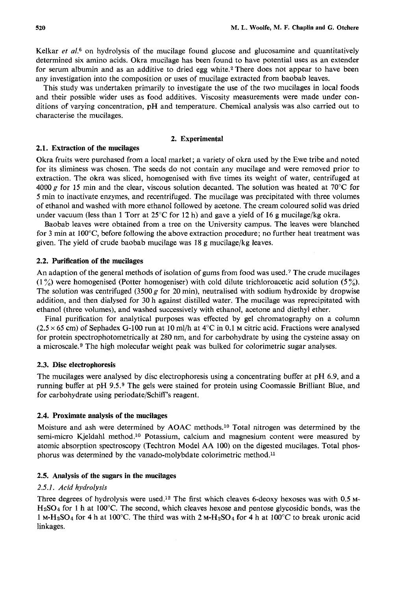Kelkar *et al.*<sup>6</sup> on hydrolysis of the mucilage found glucose and glucosamine and quantitatively determined six amino acids. Okra mucilage has been found to have potential uses as an extender for serum albumin and as an additive to dried egg white.2 There does not appear to have been any investigation into the composition or **uses** of mucilage extracted from baobab leaves.

This study was undertaken primarily to investigate the use of the two mucilages in local foods and their possible wider uses as food additives. Viscosity measurements were made under conditions of varying concentration, pH and temperature. Chemical analysis was also carried out to characterise the mucilages.

#### **2. Experimental**

#### **2.1. Extraction of the mucilages**

Okra fruits were purchased from a local market; a variety of okra used by the Ewe tribe and noted for its sliminess was chosen. The seeds do not contain any mucilage and were removed prior to extraction. The okra was sliced, homogenised with five times its weight of water, centrifuged at 4000 g for 15 min and the clear, viscous solution decanted. The solution was heated at 70 $\degree$ C for 5 min to inactivate enzymes, and recentrifuged. The mucilage was precipitated with three volumes of ethanol and washed with more ethanol followed by acetone. The cream coloured solid was dried under vacuum (less than 1 Torr at  $25^{\circ}$ C for 12 h) and gave a yield of 16 g mucilage/kg okra.

Baobab leaves were obtained from a tree on the University campus. The leaves were blanched for 3 min at 100°C, before following the above extraction procedure; no further heat treatment was given. The yield of crude baobab mucilage was 18 g mucilage/kg leaves.

## **2.2. Purification of the mucilages**

An adaption of the general methods of isolation of gums from food was used.7 The crude mucilages **(1** %) were homogenised (Potter homogeniser) with cold dilute trichloroacetic acid solution **(5** %). The solution was centrifuged (3500 g for 20 min), neutralised with sodium hydroxide by dropwise addition, and then dialysed for 30 h against distilled water. The mucilage was reprecipitated with ethanol (three volumes), and washed successively with ethanol, acetone and diethyl ether.

Final purification for analytical purposes was effected by gel chromatography on a column  $(2.5 \times 65 \text{ cm})$  of Sephadex G-100 run at 10 ml/h at  $4^{\circ}$ C in 0.1 M citric acid. Fractions were analysed for protein spectrophotometrically at 280 nm, and for carbohydrate by using the cysteine assay on a microscale.<sup>9</sup> The high molecular weight peak was bulked for colorimetric sugar analyses.

#### **2.3. Disc electrophoresis**

The mucilages were analysed by disc electrophoresis using a concentrating buffer at pH 6.9, and a running buffer at pH 9.5.9 The gels were stained for protein using Coomassie Brilliant Blue, and for carbohydrate using periodate/Schiff's reagent.

#### **2.4. Proximate analysis of the mucilages**

Moisture and ash were determined by **AOAC** methods.10 Total nitrogen was determined by the semi-micro Kjeldahl method.<sup>10</sup> Potassium, calcium and magnesium content were measured by atomic absorption spectroscopy (Techtron Model **AA** 100) on the digested mucilages. Total phosphorus was determined by the vanado-molybdate colorimetric method.11

#### **2.5. Analysis of the sugars in the mucilages**

#### *2.5.1. Acid hydrolysis*

Three degrees of hydrolysis were used.12 The first which cleaves 6-deoxy hexoses was with 0.5 M-HzS04 for **1** h at 100°C. The second, which cleaves hexose and pentose glycosidic bonds, was the **1** M-HzSO~ for **4** h at 100°C. The third was with 2 M-HzSO~ for **4** h at 100°C to break uronic acid linkages.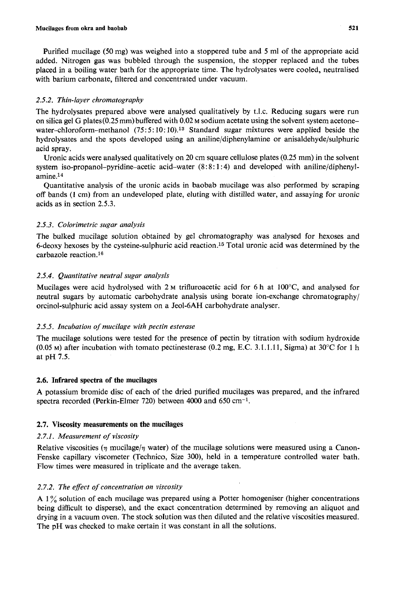Purified mucilage *(50* mg) was weighed into a stoppered tube and *5* ml of the appropriate acid added. Nitrogen gas was bubbled through the suspension, the stopper replaced and the tubes placed in a boiling water bath for the appropriate time. The hydrolysates were cooled, neutralised with barium carbonate, filtered and concentrated under vacuum.

# *2.5.2. Thin-layer chromatography*

The hydrolysates prepared above were analysed qualitatively by t.1.c. Reducing sugars were run on silica gel G plates (0.25 mm) buffered with 0.02 M sodium acetate using the solvent system acetonewater-chloroform-methanol  $(75:5:10:10).<sup>13</sup>$  Standard sugar mixtures were applied beside the hydrolysates and the spots developed using an aniline/diphenylamine or anisaldehyde/sulphuric acid spray.

Uronic acids were analysed qualitatively on 20 cm square cellulose plates *(0.25* mm) in the solvent system **iso-propanol-pyridine-acetic** acid-water (8 : 8 : **1** : **4)** and developed with aniline/diphenylamine.14

Quantitative analysis of the uronic acids in baobab mucilage was also performed by scraping off bands **(1** cni) from an undeveloped plate, eluting with distilled water, and assaying for uronic acids as in section 2.5.3.

# *2.5.3. Colorimetric sugar analysis*

The bulked mucilage solution obtained by gel chromatography was analysed for hexoses and 6-deoxy hexoses by the cysteine-sulphuric acid reaction.15 Total uronic acid was determined by the carbazole reaction.16

# *2.5.4. Quantitative neutral sugar analysis*

Mucilages were acid hydrolysed with 2 M trifluroacetic acid for 6 h at 100<sup>o</sup>C, and analysed for neutral sugars by automatic carbohydrate analysis using borate ion-exchange chromatography/ orcinol-sulphuric acid assay system on a Jeol-6AH carbohydrate analyser.

# *2.5.5. Incubation of mucilage with pectin esterase*

The mucilage solutions were tested for the presence of pectin by titration with sodium hydroxide *(0.05* **M)** after incubation with tomato pectinesterase *(0.2* mg, E.C. **3.** I. 1.1 1, Sigma) at **30°C** for 1 h at pH *7.5.* 

# **2.6. Infrared spectra of the mucilages**

A potassium bromide disc of each of the dried purified mucilages was prepared, and the infrared spectra recorded (Perkin-Elmer **720)** between 4000 and 650 cm-l.

# **2.7. Viscosity measurements on the mucilages**

# *2.7.1. Measurement of viscosity*

Relative viscosities  $(\eta \text{ mucilage}/\eta \text{ water})$  of the mucilage solutions were measured using a Canon-Fenske capillary viscometer (Technico, Size **300),** held in a temperature controlled water bath. Flow times were measured in triplicate and the average taken.

# *2.7.2. The efect of concentration on viscosity*

**A** 1 % solution of each mucilage was prepared using a Potter homogeniser (higher concentrations being difficult to disperse), and the exact concentration determined by removing an aliquot and drying in a vacuum oven. The stock solution was then diluted and the relative viscosities measured. The **pH** was checked to make certain it was constant in all the solutions.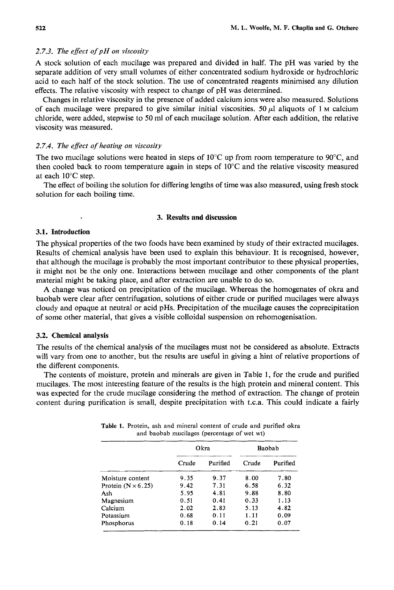## *2.7.3. The effect ofpH on viscosity*

**A** stock solution of each mucilage was prepared and divided in half. The pH was varied by the separate addition of very small volumes of either concentrated sodium hydroxide or hydrochloric acid to each half of the stock solution. The use of concentrated reagents minimised any dilution effects. The relative viscosity with respect to change of pH was determined.

Changes in relative viscosity in the presence of added calcium ions were also measured. Solutions of each mucilage were prepared to give similar initial viscosities. 50  $\mu$ l aliquots of 1  $\mu$  calcium chloride, were added, stepwise to 50 ml of each mucilage solution. After each addition, the relative viscosity was measured.

## *2.7.4. The effect of heating on viscosity*

The two mucilage solutions were heated in steps of  $10^{\circ}$ C up from room temperature to  $90^{\circ}$ C, and then cooled back to room temperature again in steps of **10°C** and the relative viscosity measured at each 10°C step.

The effect of boiling the solution for differing lengths of time was also measured, using fresh stock solution for each boiling time.

#### **3.** Results and discussion

#### **3.1.** Introduction

 $\cdot$ 

The physical properties of the two foods have been examined by study of their extracted mucilages. Results of chemical analysis have been used to explain this behaviour. It is recognised, however, that although the mucilage is probably the most important contributor to these physical properties, it might not be the only one. Interactions between mucilage and other components of the plant material might be taking place, and after extraction are unable to do so.

A change was noticed on precipitation of the mucilage. Whereas the homogenates of okra and baobab were clear after centrifugation, solutions of either crude or purified mucilages were always cloudy and opaque at neutral or acid pHs. Precipitation of the mucilage causes the coprecipitation of some other material, that gives a visible colloidal suspension on rehomogenisation.

#### **3.2.** Chemical analysis

The results of the chemical analysis of the mucilages must not be considered as absolute. Extracts will vary from one to another, but the results are useful in giving a hint of relative proportions of the different components.

The contents of moisture, protein and minerals are given in Table 1, for the crude and purified mucilages. The most interesting feature of the results is the high protein and mineral content. This was expected for the crude mucilage considering the method of extraction. The change of protein content during purification is small, despite precipitation with t.c.a. This could indicate a fairly

|                           | Okra  |          | Baobab |          |
|---------------------------|-------|----------|--------|----------|
|                           | Crude | Purified | Crude  | Purified |
| Moisture content          | 9.35  | 9.37     | 8.00   | 7.80     |
| Protein $(N \times 6.25)$ | 9.42  | 7.31     | 6.58   | 6.32     |
| Ash                       | 5.95  | 4.81     | 9.88   | 8.80     |
| Magnesium                 | 0.51  | 0.41     | 0.33   | 1.13     |
| Calcium                   | 2.02  | 2.83     | 5.13   | 4.82     |
| Potassium                 | 0.68  | 0.11     | 1.11   | 0.09     |
| Phosphorus                | 0.18  | 0.14     | 0.21   | 0.07     |

**Table 1.** Protein, ash and mineral content of crude and purified okra and baobab mucilages (percentage of wet wt)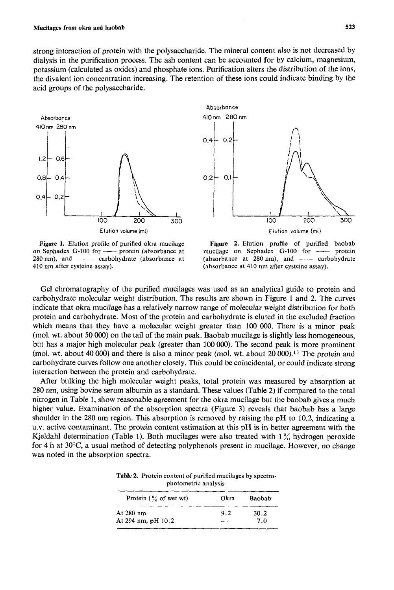strong interaction of protein with the polysaccharide. The mineral content also is not decreased by dialysis in the purification process. The ash content can be accounted for by calcium, magnesium, potassium (calculated as oxides) and phosphate ions. Purification alters the distribution of the ions, the divalent ion concentration increasing. The retention of these ions could indicate binding by the acid groups of the polysaccharide.



on Sephadex **G-100** for \_\_ protein (absorbance at mucilage on Sephadex **G-100** for \_\_ protein



**Figure 1.** Elution profile of purified okra mucilage **Figure 2.** Elution profile of purified baobab **280** nm), and  $---$  carbohydrate (absorbance at (absorbance at **280** nm), and  $---$  carbohydrate (absorbance at 410 nm after cysteine assay). **410** nm after cysteine assay). (absorbance at **410** nm after cysteine assay).

Gel chromatography of the purified mucilages was used as an analytical guide to protein and carbohydrate molecular weight distribution. The results are shown in Figure 1 and *2.* The curves indicate that okra mucilage has a relatively narrow range of molecular weight distribution for both protein and carbohydrate. Most of the protein and carbohydrate is eluted in the excluded fraction which means that they have a molecular weight greater than 100 000. There is a minor peak (mol. wt. about 50 000) on the tail of the main peak. Baobab mucilage is slightly less homogeneous, but has a major high molecular peak (greater than **100** 000). The second peak is more prominent (mol. wt. about 40 000) and there is also a minor peak (mol. wt. about  $20\,000$ ).<sup>17</sup> The protein and carbohydrate curves follow one another closely. This could be coincidental, or could indicate strong interaction between the protein and carbohydrate.

After bulking the high molecular weight peaks, total protein was measured by absorption at **280** nm, using bovine serum albumin as a standard. These values (Table *2)* if compared to the total nitrogen in Table 1, show reasonable agreement for the okra mucilage but the baobab gives a much higher value. Examination of the absorption spectra (Figure 3) reveals that baobab has a large shoulder in the 280 nm region. This absorption is removed by raising the pH to **10.2,** indicating a u.v. active contaminant. The protein content estimation at this **pH** is in better agreement with the Kjeldahl determination (Table 1). Both mucilages were also treated with  $1\%$  hydrogen peroxide for 4 h at 30<sup>o</sup>C, a usual method of detecting polyphenols present in mucilage. However, no change was noted in the absorption spectra.

|                                   | photometric analysis |        |  |  |  |  |  |
|-----------------------------------|----------------------|--------|--|--|--|--|--|
| Protein $(\frac{6}{6}$ of wet wt) | Okra                 | Baobab |  |  |  |  |  |
| At 280 nm                         | 9.2                  | 30.2   |  |  |  |  |  |
| At 294 nm, pH 10.2                |                      | 7.0    |  |  |  |  |  |
|                                   |                      |        |  |  |  |  |  |

**Table 2.** Protein content of purified mucilages by spectro-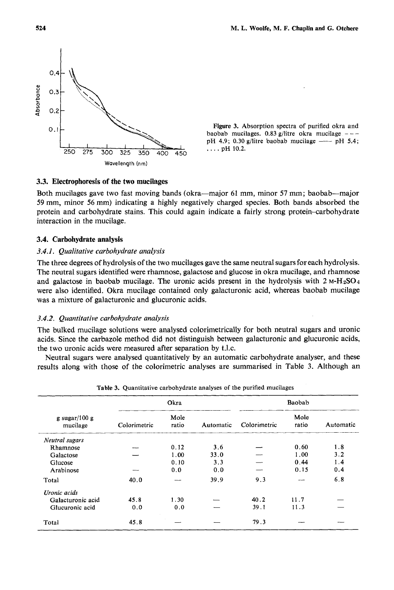

**baobab mucilages. 0.83 g/litre okra mucilage** - - **pH 4.9; 0.30 g/litre baobab mucilage --- pH 5.4;** ... **pH 10.2**.

### **3.3. Electrophoresis of the two mucilages**

Both mucilages gave two fast moving bands (okra-major 61 mm, minor *57* mm; baobab-major 59 mm, minor 56 mm) indicating a highly negatively charged species. Both bands absorbed the protein and carbohydrate stains. This could again indicate a fairly strong protein-carbohydrate interaction in the mucilage.

#### **3.4. Carbohydrate analysis**

#### *3.4.1. Qualitative carbohydrate analysis*

The three degrees of hydrolysis of the two mucilages gave the same neutral sugarsfor each hydrolysis. The neutral sugars identified were rhamnose, galactose and glucose in okra mucilage, and rhamnose and galactose in baobab mucilage. The uronic acids present in the hydrolysis with  $2 M·H<sub>2</sub>SO<sub>4</sub>$ were also identified. Okra mucilage contained only galacturonic acid, whereas baobab mucilage was a mixture of galacturonic and glucuronic acids.

## *3.4.2. Quantitative carbohydrate analysis*

The bulked mucilage solutions were analysed colorimetrically for both neutral sugars and uronic acids. Since the carbazole method did not distinguish between galacturonic and glucuronic acids, the two uronic acids were measured after separation by t.1.c.

Neutral sugars were analysed quantitatively by an automatic carbohydrate analyser, and these results along with those of the colorimetric analyses are summarised in Table **3.** Although an

| g sugar/100 g<br>mucilage | Okra         |               |           | Baobab       |               |           |
|---------------------------|--------------|---------------|-----------|--------------|---------------|-----------|
|                           | Colorimetric | Mole<br>ratio | Automatic | Colorimetric | Mole<br>ratio | Automatic |
| Neutral sugars            |              |               |           |              |               |           |
| Rhamnose                  |              | 0.12          | 3.6       |              | 0.60          | 1.8       |
| Galactose                 |              | 1.00          | 33.0      |              | 1.00          | 3.2       |
| Glucose                   |              | 0.10          | 3.3       |              | 0.44          | 1.4       |
| Arabinose                 |              | 0.0           | 0.0       |              | 0.15          | 0.4       |
| Total                     | 40.0         |               | 39.9      | 9.3          |               | 6.8       |
| Uronic acids              |              |               |           |              |               |           |
| Galacturonic acid         | 45.8         | 1.30          |           | 40.2         | 11.7          |           |
| Glucuronic acid           | 0.0          | 0.0           |           | 39.1         | 11.3          |           |
| Total                     | 45.8         |               |           | 79.3         |               |           |

**Table 3. Quantitative carbohydrate analyses of the purified mucilages**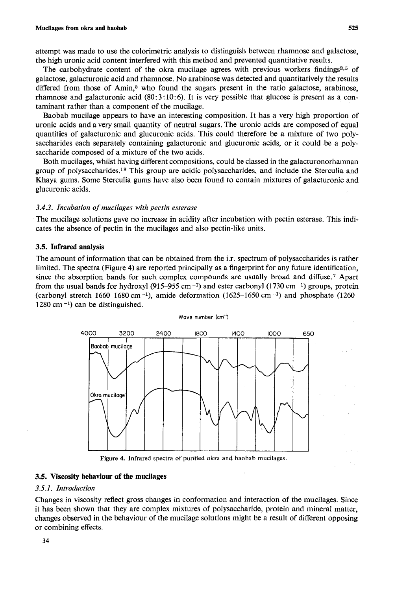attempt was made to use the colorimetric analysis to distinguish between rhamnose and galactose, the high uronic acid content interfered with this method and prevented quantitative results.

The carbohydrate content of the okra mucilage agrees with previous workers findings<sup>3,5</sup> of galactose, galacturonic acid and rhamnose. No arabinose was detected and quantitatively the results differed from those of  $Amin<sub>1</sub>$ <sup>5</sup> who found the sugars present in the ratio galactose, arabinose, rhamnose and galacturonic acid (80: **3** : 10: 6). It is very possible that glucose is present as a contaminant rather than a component of the mucilage.

Baobab mucilage appears to have an interesting composition. It has a very high proportion of uronic acids and a very small quantity of neutral sugars. The uronic acids are composed of equal quantities of galacturonic and glucuronic acids. This could therefore be a mixture of two polysaccharides each separately containing galacturonic and glucuronic acids, or it could be a polysaccharide composed of a mixture of the two acids.

Both mucilages, whilst having different compositions, could be classed in the galacturonorhamnan group of polysaccharides.18 This group are acidic polysaccharides, and include the Sterculia and Khaya gums. Some Sterculia gums have also been found to contain mixtures of galacturonic and glucuronic acids.

#### *3.4.3. Incubation of mucilages with pectin esterase*

The mucilage solutions gave no increase in acidity after incubation with pectin esterase. This indicates the absence of pectin in the mucilages and also pectin-like units.

## **3.5. Infrared analysis**

The amount of information that can be obtained from the i.r. spectrum of polysaccharides is rather limited. The spectra (Figure **4)** are reported principally as a fingerprint for any future identification, since the absorption bands for such complex compounds are usually broad and diffuse.7 Apart from the usual bands for hydroxyl(915-955 cm **-I)** and ester carbonyl(l730 cm **-l)** groups, protein (carbonyl stretch 1660–1680 cm<sup>-1</sup>), amide deformation  $(1625-1650 \text{ cm}^{-1})$  and phosphate  $(1260-$ 1280 cm **-1)** can be distinguished.

Wave number (cm<sup>-1</sup>)



Figure **4.** Infrared spectra of purified okra and baobab mucilages.

#### **3.5. Viscosity behaviour of the mucilages**

## *3.5.1. Introduction*

Changes in viscosity reflect gross changes in conformation and interaction of the mucilages. Since it has been shown that they are complex mixtures of polysaccharide, protein and mineral matter, changes observed in the behaviour of the mucilage solutions might be a result of different opposing or combining effects.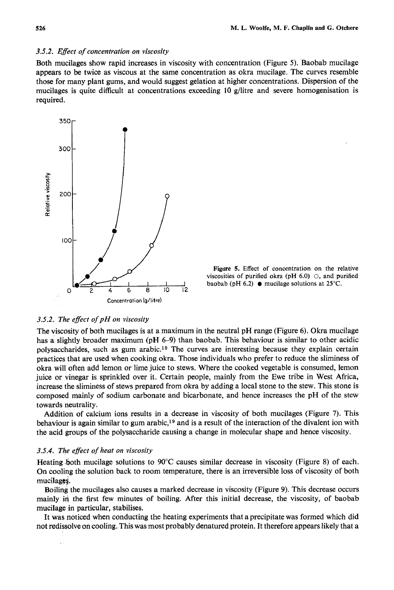## *3.5.2. Effect of concentration on viscosity*

Both mucilages show rapid increases in viscosity with concentration (Figure *5).* Baobab mucilage appears to be twice as viscous at the same concentration as okra mucilage. The curves resemble those for many plant gums, and would suggest gelation at higher concentrations. Dispersion of the mucilages is quite difficult at concentrations exceeding **10** g/litre and severe homogenisation is required.



Figure **5.** Effect of concentration on the relative viscosities of purified okra (pH 6.0) *0,* and purified baobab (pH 6.2) *0* mucilage solutions at **25°C.** 

## *3.5.2. The effect of pH on viscosity*

The viscosity of both mucilages is at a maximum in the neutral pH range (Figure 6). Okra mucilage has a slightly broader maximum (pH 6-9) than baobab. This behaviour is similar to other acidic polysaccharides, such as gum arabic.19 The curves are interesting because they explain certain practices that are used when cooking okra. Those individuals who prefer to reduce the sliminess **of**  okra will often add lemon or lime juice to stews. Where the cooked vegetable is consumed, lemon juice or vinegar is sprinkled over it. Certain people, mainly from the Ewe tribe in West Africa, increase the sliminess of stews prepared from okra by adding a local stone to the stew. This stone is composed mainly of sodium carbonate and bicarbonate, and hence increases the pH of the stew towards neutrality.

Addition of calcium ions results in a decrease in viscosity of both mucilages (Figure 7). This behaviour is again similar to gum arabic,<sup>19</sup> and is a result of the interaction of the divalent ion with the acid groups of the polysaccharide causing a change in molecular shape and hence viscosity.

#### *3.5.4. The effect of heat on viscosity*

Heating .both mucilage solutions to **90°C** causes similar decrease in viscosity (Figure **8)** of each. On cooling the solution back to room temperature, there is an irreversible loss of viscosity of both mucilages.

Boiling the mucilages also causes a marked decrease in viscosity (Figure 9). This decrease occurs mainly in the first few minutes of boiling. After this initial decrease, the viscosity, of baobab mucilage in particular, stabilises.

It was poticed when conducting the heating experiments that a precipitate was formed which did not redissolve on cooling. This was most probably denatured protein. It therefore appears likely that a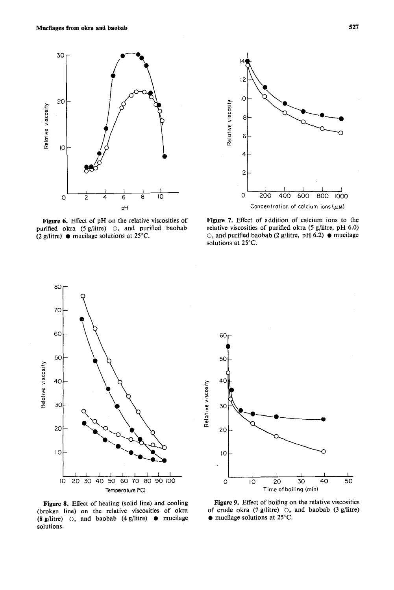



Figure 6. Effect of pH **on** the relative viscosities of purified okra **(5** g/litre) *0,* and purified baobab **(2** g/litre) mucilage solutions at **25°C.** 

Figure **7.** Effect of addition of calcium ions to the relative viscosities of purified okra **(5** g/litre, pH **6.0)**  *0,* and purified baobab **(2** g/litre, pH **6.2)** *0* mucilage solutions at **25°C.** 



60 50  $40$ Relative viscosity 30 20  $\overline{10}$ I I I I I *0* 10 *20 30* 40 *50*  **Time of boiling (min)** 

Figure **8.** Effect of heating (solid line) and cooling (broken line) on the relative viscosities of okra **(8** g/litre) *0,* and baobab **(4** g/litre) *0* mucilage solutions.

Figure *9.* Effect of boiling on the relative viscosities of crude okra (7 g/litre) *0,* and baobab (3 g/litre) *0* mucilage solutions at **25°C.**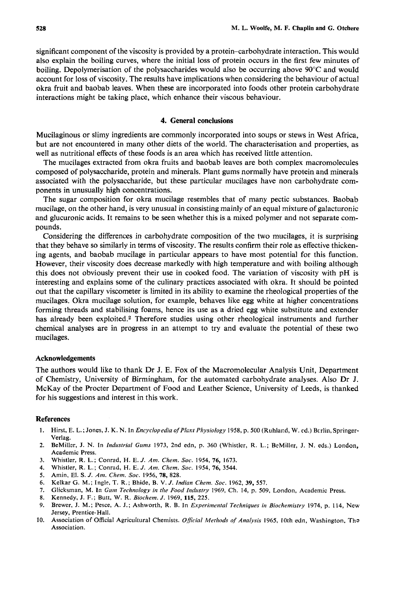significant component of the viscosity is provided by a protein-carbohydrate interaction. This would also explain the boiling curves, where the initial loss of protein occurs in the first few minutes of boiling. Depolymerisation of the polysaccharides would also be occurring above **90°C** and would account for loss of viscosity. The results have implications when considering the behaviour of actual okra fruit and baobab leaves. When these are incorporated into foods other protein carbohydrate interactions might be taking place, which enhance their viscous behaviour.

#### **4. General conclusions**

Mucilaginous or slimy ingredients are commonly incorporated into soups or stews in West Africa, but are not encountered in many other diets of the world. The characterisation and properties, as well as nutritional effects of these foods is an area which has received little attention.

The mucilages extracted from okra fruits and baobab leaves are both complex macromolecules composed of polysaccharide, protein and minerals. Plant gums normally have protein and minerals associated with the polysaccharide, but these particular mucilages have non carbohydrate components in unusually high concentrations.

The sugar composition for okra mucilage resembles that of many pectic substances. Baobab mucilage, on the other hand, is very unusual in consisting mainly of an equal mixture of galacturonic and glucuronic acids. It remains to be seen whether this is a mixed polymer and not separate compounds.

Considering the differences in carbohydrate composition of the two mucilages, it is surprising that they behave so similarly in terms of viscosity. The results confirm their role as effective thickening agents, and baobab mucilage in particular appears to have most potential for this function. However, their viscosity does decrease markedly with high temperature and with boiling although this does not obviously prevent their use in cooked food. The variation of viscosity with pH is interesting and explains some of the culinary practices associated with okra. It should be pointed out that the capillary viscometer is limited in its ability to examine the rheological properties of the mucilages. Okra mucilage solution, for example, behaves like egg white at higher concentrations forming threads and stabilising foams, hence its use as a dried egg white substitute and extender has already been exploited.<sup>2</sup> Therefore studies using other rheological instruments and further chemical analyses are in progress in an attempt to try and evaluate the potential of these two mucilages.

#### **Acknowledgements**

The authors would like to thank Dr J. **E.** Fox of the Macromolecular Analysis Unit, Department of Chemistry, University of Birmingham, for the automated carbohydrate analyses. Also Dr J. McKay of the Procter Department of Food and Leather Science, University of Leeds, is thanked for his suggestions and interest in this work.

#### **References**

- 1. Hirst, E. L.; Jones, J. K. N. In *Encyclopedia of Plant Physiology* 1958, p. 500 (Ruhland, W. ed.) Berlin, Springer-Verlag.
- BeMiller, J. N. In *Industrial Gums* **1973, 2nd** edn, p. **360** (Whistler, R. L.; BeMiller, J. N. eds.) London, **2.**  Academic Press.
- Whistler, R. L.; Conrad, H. E. J. *Am. Chem. SOC.* **1954, 76, 1673. 3.**
- Whistler, **R.** L.; Conrad, H. E. J. *Am. Chem.* **Soc. 1954, 76, 3544. 4.**
- Amin. **El.** *S.* J. *Am. Chem. Soc.* **1956, 78, 828. 5.**
- Kelkar **G.** M.; Ingle, T. R.; Bhide, B. V. *J. Indian Chem. Soc.* **1962, 39, 557. 6.**
- Glicksman, **M.** In *Gum Technology in the Food Indmry* **1969,** Ch. **14, p. 509,** London, Academic Press. **7.**
- Kennedy, J. F.; Butt, W. R. *Biochem. J.* **1969,115, 225. 8.**
- Brewer, **J.** M.; Pesce, A. J.; Ashworth, R. B. In *Experimental Techniques in Biochemistry* **1974,** p. **114,** New **9.**  Jersey, Prentice-Hall.
- Association of Official Agricultural Chemists. *Oficiui Merhods of Analysis* **1965,** 10th **edn,** Washington. Tha 10. Association.